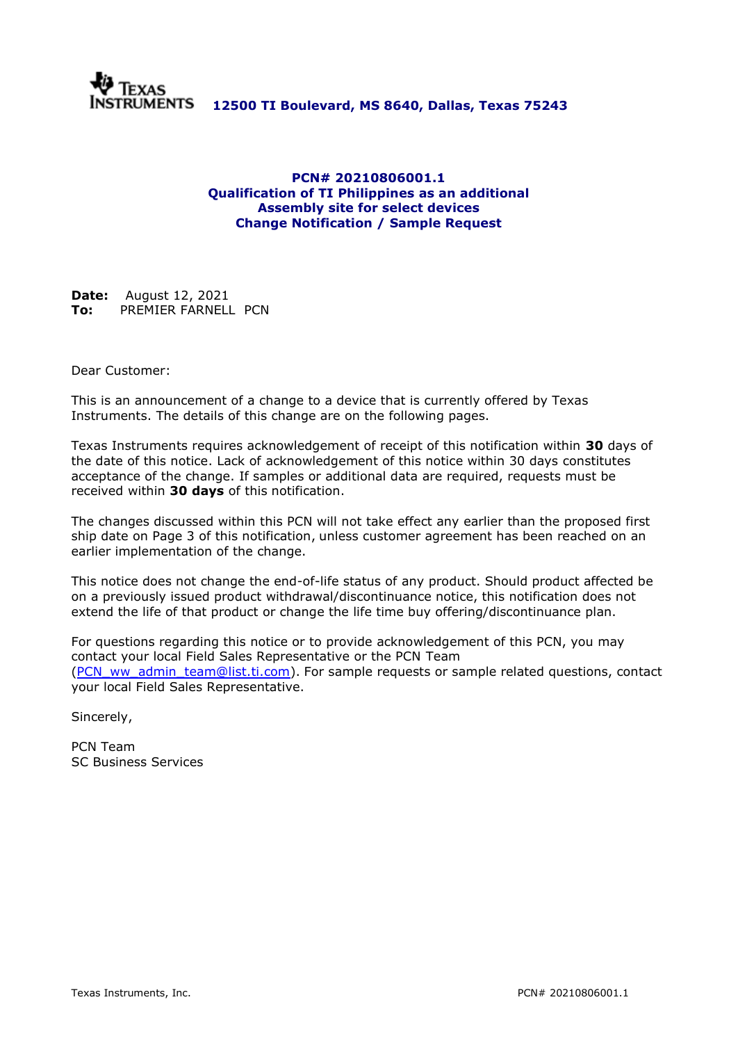

#### **PCN# 20210806001.1 Qualification of TI Philippines as an additional Assembly site for select devices Change Notification / Sample Request**

**Date:** August 12, 2021 **To:** PREMIER FARNELL PCN

Dear Customer:

This is an announcement of a change to a device that is currently offered by Texas Instruments. The details of this change are on the following pages.

Texas Instruments requires acknowledgement of receipt of this notification within **30** days of the date of this notice. Lack of acknowledgement of this notice within 30 days constitutes acceptance of the change. If samples or additional data are required, requests must be received within **30 days** of this notification.

The changes discussed within this PCN will not take effect any earlier than the proposed first ship date on Page 3 of this notification, unless customer agreement has been reached on an earlier implementation of the change.

This notice does not change the end-of-life status of any product. Should product affected be on a previously issued product withdrawal/discontinuance notice, this notification does not extend the life of that product or change the life time buy offering/discontinuance plan.

For questions regarding this notice or to provide acknowledgement of this PCN, you may contact your local Field Sales Representative or the PCN Team [\(PCN\\_ww\\_admin\\_team@list.ti.com\)](mailto:PCN_ww_admin_team@list.ti.com). For sample requests or sample related questions, contact your local Field Sales Representative.

Sincerely,

PCN Team SC Business Services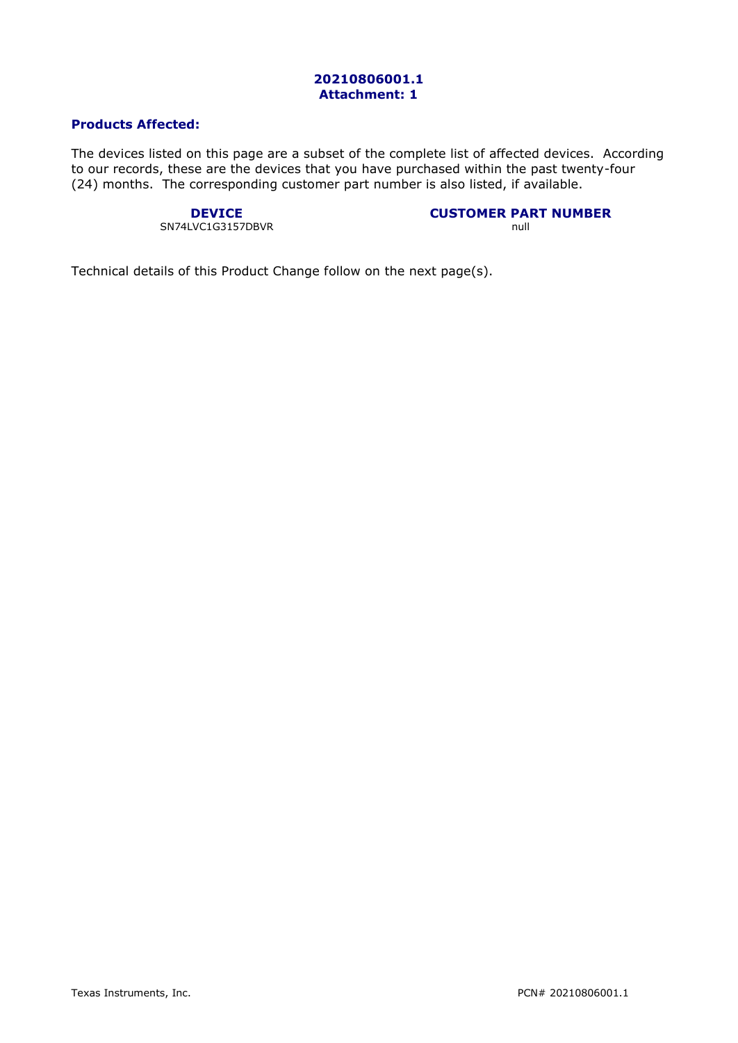#### **20210806001.1 Attachment: 1**

### **Products Affected:**

The devices listed on this page are a subset of the complete list of affected devices. According to our records, these are the devices that you have purchased within the past twenty-four (24) months. The corresponding customer part number is also listed, if available.

# SN74LVC1G3157DBVR

**DEVICE**<br> **CUSTOMER PART NUMBER**<br>
NC1G3157DBVR

Technical details of this Product Change follow on the next page(s).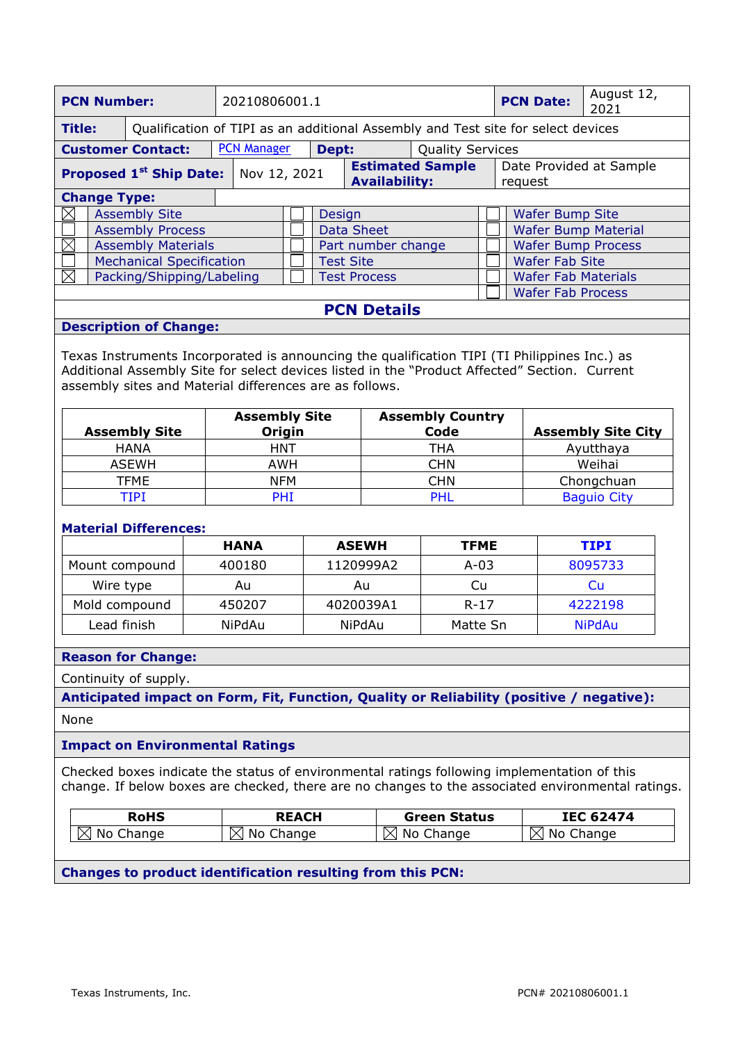| <b>PCN Number:</b>                                                                                                                                                                                                                                       |                     |                          | 20210806001.1 |                                                                                  |  |  | <b>PCN Date:</b>          | August 12,<br>2021                              |  |                                    |  |
|----------------------------------------------------------------------------------------------------------------------------------------------------------------------------------------------------------------------------------------------------------|---------------------|--------------------------|---------------|----------------------------------------------------------------------------------|--|--|---------------------------|-------------------------------------------------|--|------------------------------------|--|
| <b>Title:</b>                                                                                                                                                                                                                                            |                     |                          |               | Qualification of TIPI as an additional Assembly and Test site for select devices |  |  |                           |                                                 |  |                                    |  |
|                                                                                                                                                                                                                                                          |                     | <b>Customer Contact:</b> |               | <b>PCN Manager</b><br>Dept:<br><b>Quality Services</b>                           |  |  |                           |                                                 |  |                                    |  |
| <b>Proposed 1st Ship Date:</b> Nov 12, 2021                                                                                                                                                                                                              |                     |                          |               |                                                                                  |  |  |                           | <b>Estimated Sample</b><br><b>Availability:</b> |  | Date Provided at Sample<br>request |  |
|                                                                                                                                                                                                                                                          | <b>Change Type:</b> |                          |               |                                                                                  |  |  |                           |                                                 |  |                                    |  |
| $\boxtimes$                                                                                                                                                                                                                                              |                     | <b>Assembly Site</b>     |               | Design                                                                           |  |  | <b>Wafer Bump Site</b>    |                                                 |  |                                    |  |
|                                                                                                                                                                                                                                                          |                     | <b>Assembly Process</b>  |               | <b>Data Sheet</b>                                                                |  |  |                           | <b>Wafer Bump Material</b>                      |  |                                    |  |
| <b>Assembly Materials</b>                                                                                                                                                                                                                                |                     |                          |               | Part number change                                                               |  |  | <b>Wafer Bump Process</b> |                                                 |  |                                    |  |
| <b>Mechanical Specification</b>                                                                                                                                                                                                                          |                     |                          |               | <b>Test Site</b>                                                                 |  |  | <b>Wafer Fab Site</b>     |                                                 |  |                                    |  |
| $\boxtimes$<br>Packing/Shipping/Labeling                                                                                                                                                                                                                 |                     |                          |               |                                                                                  |  |  | <b>Test Process</b>       |                                                 |  | <b>Wafer Fab Materials</b>         |  |
|                                                                                                                                                                                                                                                          |                     |                          |               |                                                                                  |  |  |                           |                                                 |  | <b>Wafer Fab Process</b>           |  |
| <b>PCN Details</b>                                                                                                                                                                                                                                       |                     |                          |               |                                                                                  |  |  |                           |                                                 |  |                                    |  |
| <b>Description of Change:</b>                                                                                                                                                                                                                            |                     |                          |               |                                                                                  |  |  |                           |                                                 |  |                                    |  |
| Texas Instruments Incorporated is announcing the qualification TIPI (TI Philippines Inc.) as<br>Additional Assembly Site for select devices listed in the "Product Affected" Section. Current<br>assembly sites and Material differences are as follows. |                     |                          |               |                                                                                  |  |  |                           |                                                 |  |                                    |  |

| <b>Assembly Site</b> | <b>Assembly Site</b><br>Origin | <b>Assembly Country</b><br>Code | <b>Assembly Site City</b> |
|----------------------|--------------------------------|---------------------------------|---------------------------|
| <b>HANA</b>          | HNT                            | THA                             | Ayutthaya                 |
| <b>ASEWH</b>         | AWH                            | <b>CHN</b>                      | Weihai                    |
| <b>TFME</b>          | <b>NFM</b>                     | <b>CHN</b>                      | Chongchuan                |
| TIPI                 | <b>PHI</b>                     | <b>PHL</b>                      | <b>Baguio City</b>        |

#### **Material Differences:**

|                | HANA   | <b>ASEWH</b> | <b>TFME</b> | <b>TIPI</b>   |
|----------------|--------|--------------|-------------|---------------|
| Mount compound | 400180 | 1120999A2    | $A-03$      | 8095733       |
| Wire type      | Au     | Au           | Cu          | Cu            |
| Mold compound  | 450207 | 4020039A1    | $R - 17$    | 4222198       |
| Lead finish    | NiPdAu | NiPdAu       | Matte Sn    | <b>NiPdAu</b> |

#### **Reason for Change:**

Continuity of supply.

**Anticipated impact on Form, Fit, Function, Quality or Reliability (positive / negative):** None

#### **Impact on Environmental Ratings**

Checked boxes indicate the status of environmental ratings following implementation of this change. If below boxes are checked, there are no changes to the associated environmental ratings.

| RoHS           | <b>REACH</b>          | <b>Green Status</b> | 62474<br>IEC            |
|----------------|-----------------------|---------------------|-------------------------|
| .No<br>Change. | Change<br>. No<br>'Х. | hange:<br>Νo        | N<br>Nc<br>hange<br>⊥X' |

#### **Changes to product identification resulting from this PCN:**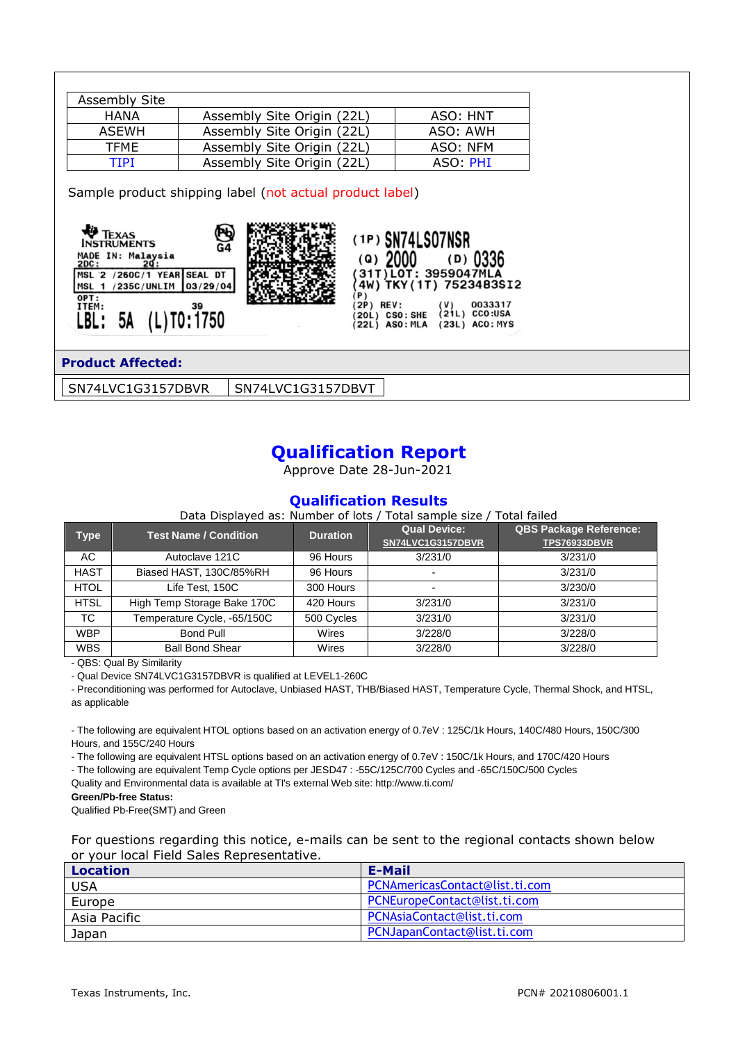| Assembly Site |                            |          |
|---------------|----------------------------|----------|
| <b>HANA</b>   | Assembly Site Origin (22L) | ASO: HNT |
| ASEWH         | Assembly Site Origin (22L) | ASO: AWH |
| <b>TFME</b>   | Assembly Site Origin (22L) | ASO: NFM |
| ттрт          | Assembly Site Origin (22L) | ASO: PHI |

Sample product shipping label (not actual product label)



#### **Product Affected:**

SN74LVC1G3157DBVR | SN74LVC1G3157DBVT

## **Qualification Report**

Approve Date 28-Jun-2021

#### **Qualification Results**

Data Displayed as: Number of lots / Total sample size / Total failed

 $(D)$  0336

| <b>Type</b> | <b>Test Name / Condition</b> | <b>Duration</b> | <b>Qual Device:</b><br>SN74LVC1G3157DBVR | <b>QBS Package Reference:</b><br><b>TPS76933DBVR</b> |
|-------------|------------------------------|-----------------|------------------------------------------|------------------------------------------------------|
| AC          | Autoclave 121C               | 96 Hours        | 3/231/0                                  | 3/231/0                                              |
| <b>HAST</b> | Biased HAST, 130C/85%RH      | 96 Hours        | -                                        | 3/231/0                                              |
| <b>HTOL</b> | Life Test, 150C              | 300 Hours       | $\overline{\phantom{0}}$                 | 3/230/0                                              |
| <b>HTSL</b> | High Temp Storage Bake 170C  | 420 Hours       | 3/231/0                                  | 3/231/0                                              |
| ТC          | Temperature Cycle, -65/150C  | 500 Cycles      | 3/231/0                                  | 3/231/0                                              |
| <b>WBP</b>  | Bond Pull                    | Wires           | 3/228/0                                  | 3/228/0                                              |
| <b>WBS</b>  | <b>Ball Bond Shear</b>       | Wires           | 3/228/0                                  | 3/228/0                                              |

- QBS: Qual By Similarity

- Qual Device SN74LVC1G3157DBVR is qualified at LEVEL1-260C

- Preconditioning was performed for Autoclave, Unbiased HAST, THB/Biased HAST, Temperature Cycle, Thermal Shock, and HTSL, as applicable

- The following are equivalent HTOL options based on an activation energy of 0.7eV : 125C/1k Hours, 140C/480 Hours, 150C/300 Hours, and 155C/240 Hours

- The following are equivalent HTSL options based on an activation energy of 0.7eV : 150C/1k Hours, and 170C/420 Hours

- The following are equivalent Temp Cycle options per JESD47 : -55C/125C/700 Cycles and -65C/150C/500 Cycles

Quality and Environmental data is available at TI's external Web site: http://www.ti.com/

#### **Green/Pb-free Status:**

Qualified Pb-Free(SMT) and Green

For questions regarding this notice, e-mails can be sent to the regional contacts shown below or your local Field Sales Representative.

| <b>Location</b> | E-Mail                         |
|-----------------|--------------------------------|
| <b>USA</b>      | PCNAmericasContact@list.ti.com |
| Europe          | PCNEuropeContact@list.ti.com   |
| Asia Pacific    | PCNAsiaContact@list.ti.com     |
| Japan           | PCNJapanContact@list.ti.com    |